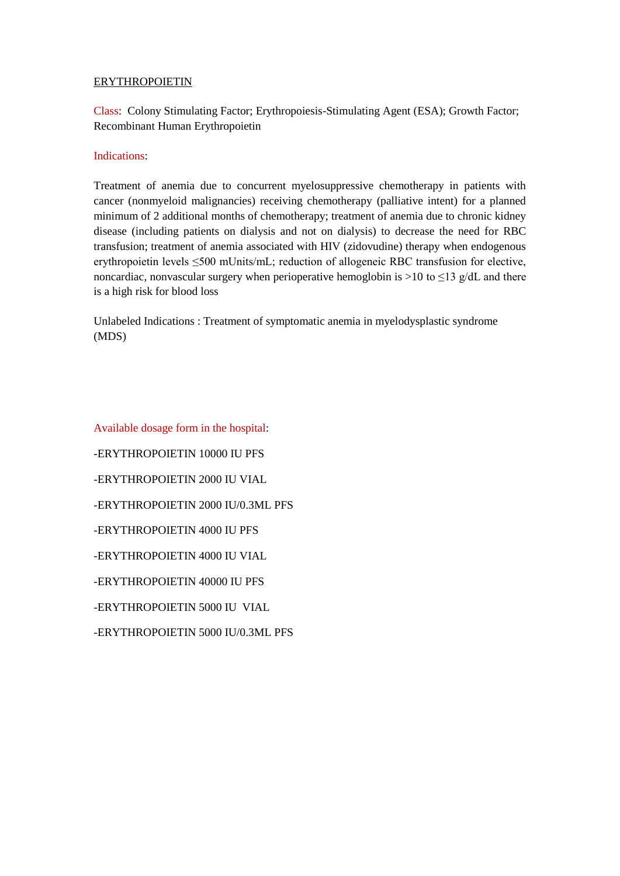# ERYTHROPOIETIN

Class: Colony Stimulating Factor; Erythropoiesis-Stimulating Agent (ESA); Growth Factor; Recombinant Human Erythropoietin

## Indications:

Treatment of anemia due to concurrent myelosuppressive chemotherapy in patients with cancer (nonmyeloid malignancies) receiving chemotherapy (palliative intent) for a planned minimum of 2 additional months of chemotherapy; treatment of anemia due to chronic kidney disease (including patients on dialysis and not on dialysis) to decrease the need for RBC transfusion; treatment of anemia associated with HIV (zidovudine) therapy when endogenous erythropoietin levels ≤500 mUnits/mL; reduction of allogeneic RBC transfusion for elective, noncardiac, nonvascular surgery when perioperative hemoglobin is  $>10$  to  $\leq$ 13 g/dL and there is a high risk for blood loss

Unlabeled Indications : Treatment of symptomatic anemia in myelodysplastic syndrome (MDS)

Available dosage form in the hospital: -ERYTHROPOIETIN 10000 IU PFS -ERYTHROPOIETIN 2000 IU VIAL -ERYTHROPOIETIN 2000 IU/0.3ML PFS -ERYTHROPOIETIN 4000 IU PFS -ERYTHROPOIETIN 4000 IU VIAL -ERYTHROPOIETIN 40000 IU PFS -ERYTHROPOIETIN 5000 IU VIAL -ERYTHROPOIETIN 5000 IU/0.3ML PFS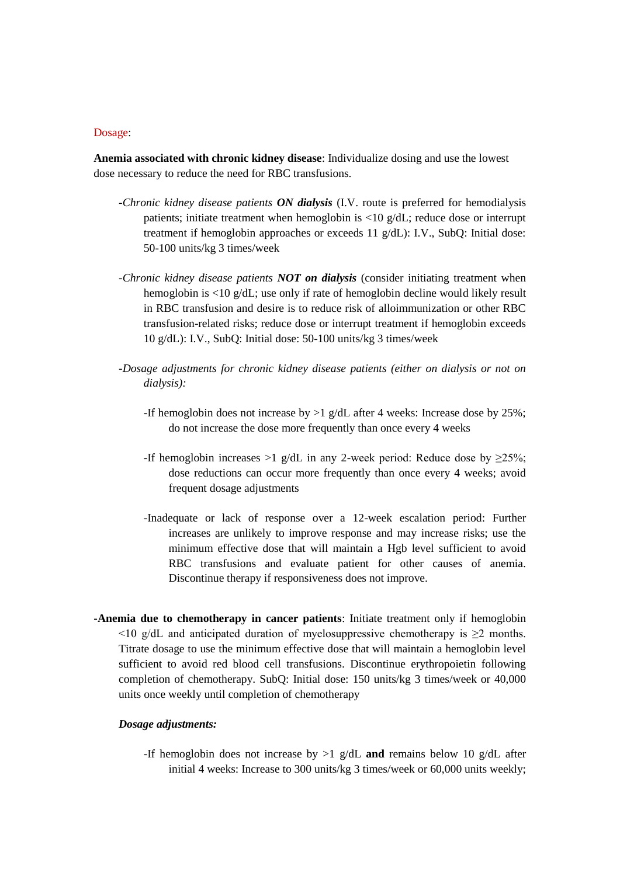### Dosage:

**Anemia associated with chronic kidney disease**: Individualize dosing and use the lowest dose necessary to reduce the need for RBC transfusions.

- *-Chronic kidney disease patients ON dialysis* (I.V. route is preferred for hemodialysis patients; initiate treatment when hemoglobin is  $\langle 10 \text{ g/dL} \rangle$ ; reduce dose or interrupt treatment if hemoglobin approaches or exceeds 11 g/dL): I.V., SubQ: Initial dose: 50-100 units/kg 3 times/week
- *-Chronic kidney disease patients NOT on dialysis* (consider initiating treatment when hemoglobin is <10 g/dL; use only if rate of hemoglobin decline would likely result in RBC transfusion and desire is to reduce risk of alloimmunization or other RBC transfusion-related risks; reduce dose or interrupt treatment if hemoglobin exceeds 10 g/dL): I.V., SubQ: Initial dose: 50-100 units/kg 3 times/week
- *-Dosage adjustments for chronic kidney disease patients (either on dialysis or not on dialysis):*
	- -If hemoglobin does not increase by >1 g/dL after 4 weeks: Increase dose by 25%; do not increase the dose more frequently than once every 4 weeks
	- -If hemoglobin increases >1 g/dL in any 2-week period: Reduce dose by  $\geq 25\%$ ; dose reductions can occur more frequently than once every 4 weeks; avoid frequent dosage adjustments
	- -Inadequate or lack of response over a 12-week escalation period: Further increases are unlikely to improve response and may increase risks; use the minimum effective dose that will maintain a Hgb level sufficient to avoid RBC transfusions and evaluate patient for other causes of anemia. Discontinue therapy if responsiveness does not improve.
- **-Anemia due to chemotherapy in cancer patients**: Initiate treatment only if hemoglobin  $\leq$ 10 g/dL and anticipated duration of myelosuppressive chemotherapy is  $\geq$ 2 months. Titrate dosage to use the minimum effective dose that will maintain a hemoglobin level sufficient to avoid red blood cell transfusions. Discontinue erythropoietin following completion of chemotherapy. SubQ: Initial dose: 150 units/kg 3 times/week or 40,000 units once weekly until completion of chemotherapy

#### *Dosage adjustments:*

-If hemoglobin does not increase by >1 g/dL **and** remains below 10 g/dL after initial 4 weeks: Increase to 300 units/kg 3 times/week or 60,000 units weekly;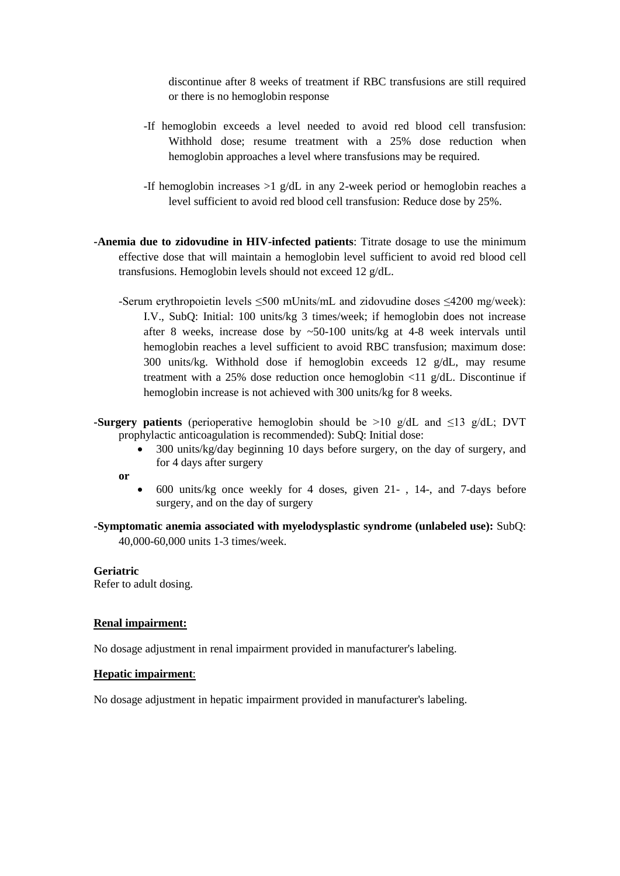discontinue after 8 weeks of treatment if RBC transfusions are still required or there is no hemoglobin response

- -If hemoglobin exceeds a level needed to avoid red blood cell transfusion: Withhold dose; resume treatment with a 25% dose reduction when hemoglobin approaches a level where transfusions may be required.
- -If hemoglobin increases >1 g/dL in any 2-week period or hemoglobin reaches a level sufficient to avoid red blood cell transfusion: Reduce dose by 25%.
- **-Anemia due to zidovudine in HIV-infected patients**: Titrate dosage to use the minimum effective dose that will maintain a hemoglobin level sufficient to avoid red blood cell transfusions. Hemoglobin levels should not exceed 12 g/dL.
	- -Serum erythropoietin levels ≤500 mUnits/mL and zidovudine doses ≤4200 mg/week): I.V., SubQ: Initial: 100 units/kg 3 times/week; if hemoglobin does not increase after 8 weeks, increase dose by ~50-100 units/kg at 4-8 week intervals until hemoglobin reaches a level sufficient to avoid RBC transfusion; maximum dose: 300 units/kg. Withhold dose if hemoglobin exceeds 12 g/dL, may resume treatment with a 25% dose reduction once hemoglobin <11 g/dL. Discontinue if hemoglobin increase is not achieved with 300 units/kg for 8 weeks.
- **-Surgery patients** (perioperative hemoglobin should be >10 g/dL and ≤13 g/dL; DVT prophylactic anticoagulation is recommended): SubQ: Initial dose:
	- 300 units/kg/day beginning 10 days before surgery, on the day of surgery, and for 4 days after surgery
	- **or**
- 600 units/kg once weekly for 4 doses, given 21- , 14-, and 7-days before surgery, and on the day of surgery

**-Symptomatic anemia associated with myelodysplastic syndrome (unlabeled use):** SubQ: 40,000-60,000 units 1-3 times/week.

#### **Geriatric**

Refer to adult dosing.

### **Renal impairment:**

No dosage adjustment in renal impairment provided in manufacturer's labeling.

#### **Hepatic impairment**:

No dosage adjustment in hepatic impairment provided in manufacturer's labeling.